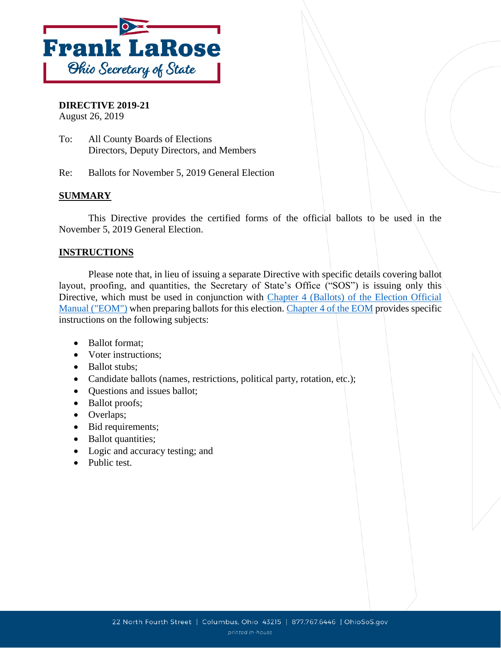

## **DIRECTIVE 2019-21**

August 26, 2019

- To: All County Boards of Elections Directors, Deputy Directors, and Members
- Re: Ballots for November 5, 2019 General Election

### **SUMMARY**

This Directive provides the certified forms of the official ballots to be used in the November 5, 2019 General Election.

#### **INSTRUCTIONS**

Please note that, in lieu of issuing a separate Directive with specific details covering ballot layout, proofing, and quantities, the Secretary of State's Office ("SOS") is issuing only this Directive, which must be used in conjunction with [Chapter 4 \(Ballots\) of the Election Official](https://www.sos.state.oh.us/globalassets/elections/directives/2016/dir2016-22_eom-ch_04.pdf)  [Manual \("EOM"\)](https://www.sos.state.oh.us/globalassets/elections/directives/2016/dir2016-22_eom-ch_04.pdf) when preparing ballots for this election. [Chapter 4 of the EOM](https://www.sos.state.oh.us/globalassets/elections/directives/2016/dir2016-22_eom-ch_04.pdf) provides specific instructions on the following subjects:

- Ballot format:
- Voter instructions;
- Ballot stubs:
- Candidate ballots (names, restrictions, political party, rotation, etc.);
- Questions and issues ballot;
- Ballot proofs;
- Overlaps;
- Bid requirements;
- Ballot quantities;
- Logic and accuracy testing; and
- Public test.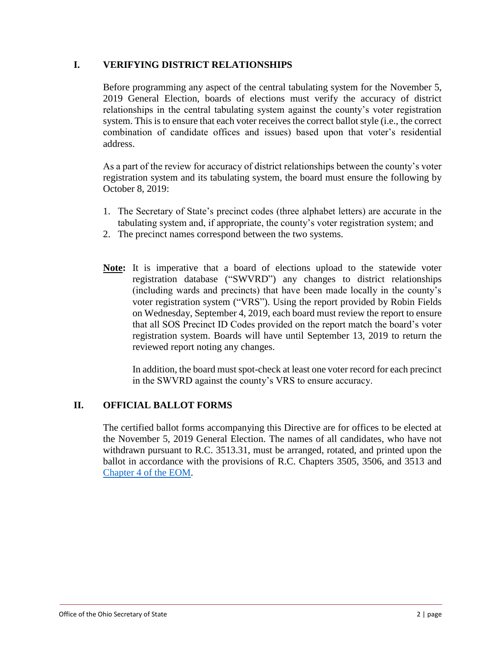#### **I. VERIFYING DISTRICT RELATIONSHIPS**

Before programming any aspect of the central tabulating system for the November 5, 2019 General Election, boards of elections must verify the accuracy of district relationships in the central tabulating system against the county's voter registration system. This is to ensure that each voter receives the correct ballot style (i.e., the correct combination of candidate offices and issues) based upon that voter's residential address.

As a part of the review for accuracy of district relationships between the county's voter registration system and its tabulating system, the board must ensure the following by October 8, 2019:

- 1. The Secretary of State's precinct codes (three alphabet letters) are accurate in the tabulating system and, if appropriate, the county's voter registration system; and
- 2. The precinct names correspond between the two systems.
- **Note:** It is imperative that a board of elections upload to the statewide voter registration database ("SWVRD") any changes to district relationships (including wards and precincts) that have been made locally in the county's voter registration system ("VRS"). Using the report provided by Robin Fields on Wednesday, September 4, 2019, each board must review the report to ensure that all SOS Precinct ID Codes provided on the report match the board's voter registration system. Boards will have until September 13, 2019 to return the reviewed report noting any changes.

In addition, the board must spot-check at least one voter record for each precinct in the SWVRD against the county's VRS to ensure accuracy.

#### **II. OFFICIAL BALLOT FORMS**

The certified ballot forms accompanying this Directive are for offices to be elected at the November 5, 2019 General Election. The names of all candidates, who have not withdrawn pursuant to R.C. 3513.31, must be arranged, rotated, and printed upon the ballot in accordance with the provisions of R.C. Chapters 3505, 3506, and 3513 and [Chapter 4 of the EOM.](https://www.sos.state.oh.us/globalassets/elections/directives/2016/dir2016-22_eom-ch_04.pdf)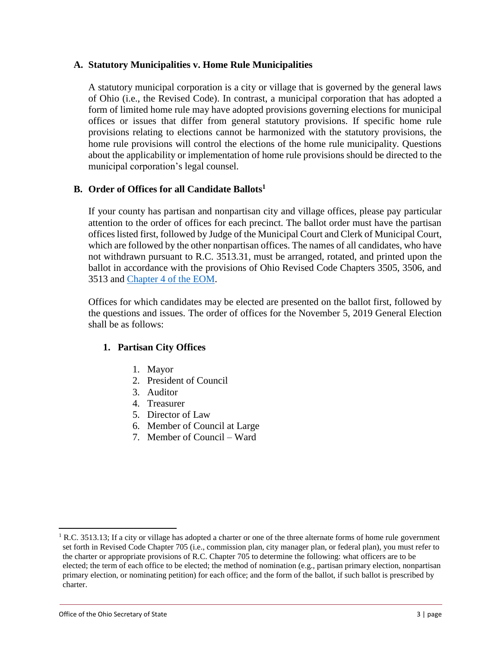#### **A. Statutory Municipalities v. Home Rule Municipalities**

A statutory municipal corporation is a city or village that is governed by the general laws of Ohio (i.e., the Revised Code). In contrast, a municipal corporation that has adopted a form of limited home rule may have adopted provisions governing elections for municipal offices or issues that differ from general statutory provisions. If specific home rule provisions relating to elections cannot be harmonized with the statutory provisions, the home rule provisions will control the elections of the home rule municipality. Questions about the applicability or implementation of home rule provisions should be directed to the municipal corporation's legal counsel.

#### **B. Order of Offices for all Candidate Ballots<sup>1</sup>**

If your county has partisan and nonpartisan city and village offices, please pay particular attention to the order of offices for each precinct. The ballot order must have the partisan offices listed first, followed by Judge of the Municipal Court and Clerk of Municipal Court, which are followed by the other nonpartisan offices. The names of all candidates, who have not withdrawn pursuant to R.C. 3513.31, must be arranged, rotated, and printed upon the ballot in accordance with the provisions of Ohio Revised Code Chapters 3505, 3506, and 3513 and [Chapter 4 of the EOM.](https://www.sos.state.oh.us/globalassets/elections/directives/2016/dir2016-22_eom-ch_04.pdf)

Offices for which candidates may be elected are presented on the ballot first, followed by the questions and issues. The order of offices for the November 5, 2019 General Election shall be as follows:

#### **1. Partisan City Offices**

- 1. Mayor
- 2. President of Council
- 3. Auditor
- 4. Treasurer
- 5. Director of Law
- 6. Member of Council at Large
- 7. Member of Council Ward

 $\overline{\phantom{a}}$ 

<sup>&</sup>lt;sup>1</sup> R.C. 3513.13; If a city or village has adopted a charter or one of the three alternate forms of home rule government set forth in Revised Code Chapter 705 (i.e., commission plan, city manager plan, or federal plan), you must refer to the charter or appropriate provisions of R.C. Chapter 705 to determine the following: what officers are to be elected; the term of each office to be elected; the method of nomination (e.g., partisan primary election, nonpartisan primary election, or nominating petition) for each office; and the form of the ballot, if such ballot is prescribed by charter.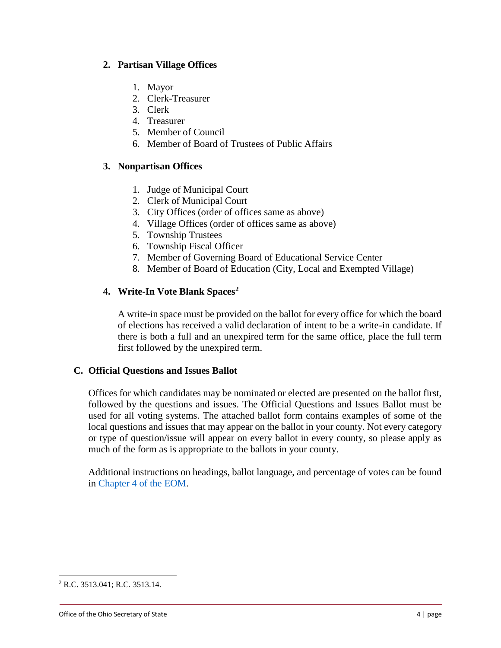#### **2. Partisan Village Offices**

- 1. Mayor
- 2. Clerk-Treasurer
- 3. Clerk
- 4. Treasurer
- 5. Member of Council
- 6. Member of Board of Trustees of Public Affairs

#### **3. Nonpartisan Offices**

- 1. Judge of Municipal Court
- 2. Clerk of Municipal Court
- 3. City Offices (order of offices same as above)
- 4. Village Offices (order of offices same as above)
- 5. Township Trustees
- 6. Township Fiscal Officer
- 7. Member of Governing Board of Educational Service Center
- 8. Member of Board of Education (City, Local and Exempted Village)

### **4. Write-In Vote Blank Spaces<sup>2</sup>**

A write-in space must be provided on the ballot for every office for which the board of elections has received a valid declaration of intent to be a write-in candidate. If there is both a full and an unexpired term for the same office, place the full term first followed by the unexpired term.

#### **C. Official Questions and Issues Ballot**

Offices for which candidates may be nominated or elected are presented on the ballot first, followed by the questions and issues. The Official Questions and Issues Ballot must be used for all voting systems. The attached ballot form contains examples of some of the local questions and issues that may appear on the ballot in your county. Not every category or type of question/issue will appear on every ballot in every county, so please apply as much of the form as is appropriate to the ballots in your county.

Additional instructions on headings, ballot language, and percentage of votes can be found in [Chapter 4 of the EOM.](https://www.sos.state.oh.us/globalassets/elections/directives/2016/dir2016-22_eom-ch_04.pdf)

 $\overline{\phantom{a}}$ 

<sup>2</sup> R.C. 3513.041; R.C. 3513.14.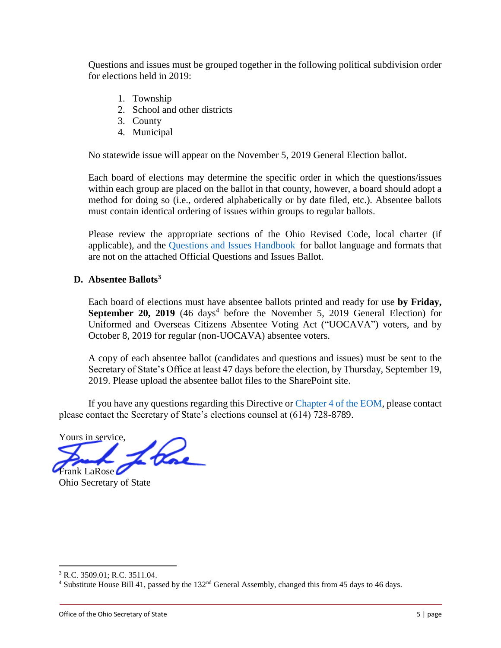Questions and issues must be grouped together in the following political subdivision order for elections held in 2019:

- 1. Township
- 2. School and other districts
- 3. County
- 4. Municipal

No statewide issue will appear on the November 5, 2019 General Election ballot.

Each board of elections may determine the specific order in which the questions/issues within each group are placed on the ballot in that county, however, a board should adopt a method for doing so (i.e., ordered alphabetically or by date filed, etc.). Absentee ballots must contain identical ordering of issues within groups to regular ballots.

Please review the appropriate sections of the Ohio Revised Code, local charter (if applicable), and the [Questions and Issues Handbook](https://www.sos.state.oh.us/globalassets/elections/eoresources/general/questionsandissues.pdf) for ballot language and formats that are not on the attached Official Questions and Issues Ballot.

#### **D. Absentee Ballots<sup>3</sup>**

Each board of elections must have absentee ballots printed and ready for use **by Friday,** September 20, 2019 (46 days<sup>4</sup> before the November 5, 2019 General Election) for Uniformed and Overseas Citizens Absentee Voting Act ("UOCAVA") voters, and by October 8, 2019 for regular (non-UOCAVA) absentee voters.

A copy of each absentee ballot (candidates and questions and issues) must be sent to the Secretary of State's Office at least 47 days before the election, by Thursday, September 19, 2019. Please upload the absentee ballot files to the SharePoint site.

If you have any questions regarding this Directive or [Chapter 4 of the EOM,](https://www.sos.state.oh.us/globalassets/elections/directives/2016/dir2016-22_eom-ch_04.pdf) please contact please contact the Secretary of State's elections counsel at (614) 728-8789.

Yours in service, there Frank LaRose

Ohio Secretary of State

 $\overline{a}$ 

<sup>3</sup> R.C. 3509.01; R.C. 3511.04.

<sup>4</sup> Substitute House Bill 41, passed by the 132nd General Assembly, changed this from 45 days to 46 days.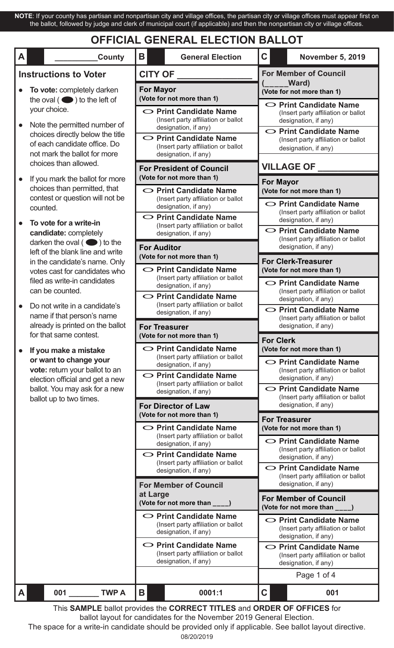**NOTE**: If your county has partisan and nonpartisan city and village offices, the partisan city or village offices must appear first on the ballot, followed by judge and clerk of municipal court (if applicable) and then the nonpartisan city or village offices.

# **OFFICIAL GENERAL ELECTION BALLOT**

| A<br><b>County</b>                                                                                                                                                               | Β<br><b>General Election</b>                                                                | $\mathbf C$<br><b>November 5, 2019</b>                                                                                                                                                                                                                                            |  |  |
|----------------------------------------------------------------------------------------------------------------------------------------------------------------------------------|---------------------------------------------------------------------------------------------|-----------------------------------------------------------------------------------------------------------------------------------------------------------------------------------------------------------------------------------------------------------------------------------|--|--|
| <b>Instructions to Voter</b>                                                                                                                                                     | <b>CITY OF</b>                                                                              | <b>For Member of Council</b><br>Ward)<br>(Vote for not more than 1)<br>○ Print Candidate Name<br>(Insert party affiliation or ballot<br>designation, if any)                                                                                                                      |  |  |
| To vote: completely darken<br>the oval $($ $\bullet)$ to the left of                                                                                                             | <b>For Mayor</b><br>(Vote for not more than 1)                                              |                                                                                                                                                                                                                                                                                   |  |  |
| your choice.<br>Note the permitted number of                                                                                                                                     | $\circ$ Print Candidate Name<br>(Insert party affiliation or ballot<br>designation, if any) |                                                                                                                                                                                                                                                                                   |  |  |
| choices directly below the title<br>of each candidate office. Do<br>not mark the ballot for more                                                                                 | ◯ Print Candidate Name<br>(Insert party affiliation or ballot<br>designation, if any)       | ○ Print Candidate Name<br>(Insert party affiliation or ballot<br>designation, if any)                                                                                                                                                                                             |  |  |
| choices than allowed.                                                                                                                                                            | <b>For President of Council</b>                                                             | <b>VILLAGE OF</b>                                                                                                                                                                                                                                                                 |  |  |
| If you mark the ballot for more<br>choices than permitted, that<br>contest or question will not be                                                                               | (Vote for not more than 1)<br>◯ Print Candidate Name<br>(Insert party affiliation or ballot | <b>For Mayor</b><br>(Vote for not more than 1)                                                                                                                                                                                                                                    |  |  |
| counted.<br>To vote for a write-in                                                                                                                                               | designation, if any)<br>O Print Candidate Name                                              | ○ Print Candidate Name<br>(Insert party affiliation or ballot<br>designation, if any)                                                                                                                                                                                             |  |  |
| candidate: completely<br>darken the oval $($ $\bullet)$ to the                                                                                                                   | (Insert party affiliation or ballot<br>designation, if any)                                 | $\circ$ Print Candidate Name<br>(Insert party affiliation or ballot                                                                                                                                                                                                               |  |  |
| left of the blank line and write<br>in the candidate's name. Only                                                                                                                | <b>For Auditor</b><br>(Vote for not more than 1)                                            | designation, if any)<br><b>For Clerk-Treasurer</b>                                                                                                                                                                                                                                |  |  |
| votes cast for candidates who<br>filed as write-in candidates                                                                                                                    | ◯ Print Candidate Name<br>(Insert party affiliation or ballot                               | (Vote for not more than 1)                                                                                                                                                                                                                                                        |  |  |
| can be counted.                                                                                                                                                                  | designation, if any)<br>O Print Candidate Name                                              | ○ Print Candidate Name<br>(Insert party affiliation or ballot<br>designation, if any)<br>$\circ$ Print Candidate Name<br>(Insert party affiliation or ballot<br>designation, if any)<br><b>For Clerk</b>                                                                          |  |  |
| Do not write in a candidate's<br>name if that person's name<br>already is printed on the ballot                                                                                  | (Insert party affiliation or ballot<br>designation, if any)                                 |                                                                                                                                                                                                                                                                                   |  |  |
| for that same contest.                                                                                                                                                           | <b>For Treasurer</b><br>(Vote for not more than 1)                                          |                                                                                                                                                                                                                                                                                   |  |  |
| If you make a mistake<br>or want to change your<br>vote: return your ballot to an<br>election official and get a new<br>ballot. You may ask for a new<br>ballot up to two times. | $\circ$ Print Candidate Name<br>(Insert party affiliation or ballot<br>designation, if any) | (Vote for not more than 1)<br>$\circ$ Print Candidate Name                                                                                                                                                                                                                        |  |  |
|                                                                                                                                                                                  | O Print Candidate Name<br>(Insert party affiliation or ballot                               | (Insert party affiliation or ballot<br>designation, if any)<br>◯ Print Candidate Name<br>(Insert party affiliation or ballot<br>designation, if any)<br><b>For Treasurer</b><br>(Vote for not more than 1)<br>$\circ$ Print Candidate Name<br>(Insert party affiliation or ballot |  |  |
|                                                                                                                                                                                  | designation, if any)<br><b>For Director of Law</b>                                          |                                                                                                                                                                                                                                                                                   |  |  |
|                                                                                                                                                                                  | (Vote for not more than 1)<br>$\circ$ Print Candidate Name                                  |                                                                                                                                                                                                                                                                                   |  |  |
|                                                                                                                                                                                  | (Insert party affiliation or ballot<br>designation, if any)                                 |                                                                                                                                                                                                                                                                                   |  |  |
|                                                                                                                                                                                  | ○ Print Candidate Name<br>(Insert party affiliation or ballot<br>designation, if any)       | designation, if any)<br>$\circ$ Print Candidate Name<br>(Insert party affiliation or ballot                                                                                                                                                                                       |  |  |
|                                                                                                                                                                                  | <b>For Member of Council</b><br>at Large<br>(Vote for not more than ____)                   | designation, if any)                                                                                                                                                                                                                                                              |  |  |
|                                                                                                                                                                                  |                                                                                             | <b>For Member of Council</b><br>(Vote for not more than ____)                                                                                                                                                                                                                     |  |  |
|                                                                                                                                                                                  | ○ Print Candidate Name<br>(Insert party affiliation or ballot<br>designation, if any)       | ◯ Print Candidate Name<br>(Insert party affiliation or ballot<br>designation, if any)                                                                                                                                                                                             |  |  |
|                                                                                                                                                                                  | O Print Candidate Name<br>(Insert party affiliation or ballot<br>designation, if any)       | ◯ Print Candidate Name<br>(Insert party affiliation or ballot<br>designation, if any)                                                                                                                                                                                             |  |  |
|                                                                                                                                                                                  |                                                                                             | Page 1 of 4                                                                                                                                                                                                                                                                       |  |  |
| 001<br><b>TWP A</b><br>A                                                                                                                                                         | Β<br>0001:1<br>This CAMDLE hollet provides the CODDECT TITLES and ODDED OF OFFICES for      | $\mathbf C$<br>001                                                                                                                                                                                                                                                                |  |  |

08/20/2019 This **SAMPLE** ballot provides the **CORRECT TITLES** and **ORDER OF OFFICES** for ballot layout for candidates for the November 2019 General Election. The space for a write-in candidate should be provided only if applicable. See ballot layout directive.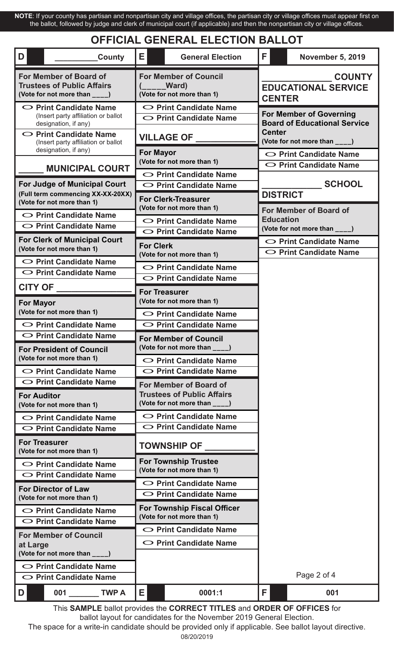**NOTE**: If your county has partisan and nonpartisan city and village offices, the partisan city or village offices must appear first on the ballot, followed by judge and clerk of municipal court (if applicable) and then the nonpartisan city or village offices.

## **OFFICIAL GENERAL ELECTION BALLOT**

| D<br>County                                                                                                                 | E.<br><b>General Election</b>                                                                | F.<br><b>November 5, 2019</b>                                                                                           |  |  |  |
|-----------------------------------------------------------------------------------------------------------------------------|----------------------------------------------------------------------------------------------|-------------------------------------------------------------------------------------------------------------------------|--|--|--|
| For Member of Board of<br><b>Trustees of Public Affairs</b><br>(Vote for not more than ____)                                | <b>For Member of Council</b><br><b>Ward</b><br>(Vote for not more than 1)                    | <b>COUNTY</b><br><b>EDUCATIONAL SERVICE</b><br><b>CENTER</b>                                                            |  |  |  |
| $\circ$ Print Candidate Name<br>(Insert party affiliation or ballot<br>designation, if any)<br>$\circ$ Print Candidate Name | ○ Print Candidate Name<br>$\circ$ Print Candidate Name                                       | <b>For Member of Governing</b><br><b>Board of Educational Service</b><br><b>Center</b><br>(Vote for not more than ____) |  |  |  |
| (Insert party affiliation or ballot<br>designation, if any)                                                                 | <b>VILLAGE OF __</b><br><b>For Mayor</b>                                                     |                                                                                                                         |  |  |  |
| <b>MUNICIPAL COURT</b>                                                                                                      | (Vote for not more than 1)                                                                   | O Print Candidate Name<br>◯ Print Candidate Name                                                                        |  |  |  |
| <b>For Judge of Municipal Court</b>                                                                                         | $\circ$ Print Candidate Name<br>○ Print Candidate Name                                       | <b>SCHOOL</b>                                                                                                           |  |  |  |
| (Full term commencing XX-XX-20XX)<br>(Vote for not more than 1)                                                             | <b>For Clerk-Treasurer</b><br>(Vote for not more than 1)                                     | <b>DISTRICT</b>                                                                                                         |  |  |  |
| $\circ$ Print Candidate Name<br>$\circ$ Print Candidate Name                                                                | ○ Print Candidate Name                                                                       | For Member of Board of<br><b>Education</b>                                                                              |  |  |  |
|                                                                                                                             | ○ Print Candidate Name                                                                       | (Vote for not more than ____)                                                                                           |  |  |  |
| <b>For Clerk of Municipal Court</b><br>(Vote for not more than 1)                                                           | <b>For Clerk</b><br>(Vote for not more than 1)                                               | ◯ Print Candidate Name<br>$\circ$ Print Candidate Name                                                                  |  |  |  |
| ○ Print Candidate Name                                                                                                      | O Print Candidate Name                                                                       |                                                                                                                         |  |  |  |
| $\circ$ Print Candidate Name                                                                                                | O Print Candidate Name                                                                       |                                                                                                                         |  |  |  |
| <b>CITY OF</b>                                                                                                              | <b>For Treasurer</b>                                                                         |                                                                                                                         |  |  |  |
| <b>For Mayor</b>                                                                                                            | (Vote for not more than 1)                                                                   |                                                                                                                         |  |  |  |
| (Vote for not more than 1)                                                                                                  | O Print Candidate Name                                                                       |                                                                                                                         |  |  |  |
| ○ Print Candidate Name                                                                                                      | O Print Candidate Name                                                                       |                                                                                                                         |  |  |  |
| $\circ$ Print Candidate Name                                                                                                | <b>For Member of Council</b>                                                                 |                                                                                                                         |  |  |  |
| <b>For President of Council</b><br>(Vote for not more than 1)                                                               | (Vote for not more than ____)                                                                |                                                                                                                         |  |  |  |
|                                                                                                                             | $\circ$ Print Candidate Name                                                                 |                                                                                                                         |  |  |  |
| $\circ$ Print Candidate Name<br>$\circ$ Print Candidate Name                                                                | $\circ$ Print Candidate Name                                                                 |                                                                                                                         |  |  |  |
| <b>For Auditor</b><br>(Vote for not more than 1)                                                                            | For Member of Board of<br><b>Trustees of Public Affairs</b><br>(Vote for not more than ____) |                                                                                                                         |  |  |  |
| $\circ$ Print Candidate Name                                                                                                | ◯ Print Candidate Name                                                                       |                                                                                                                         |  |  |  |
| $\circ$ Print Candidate Name                                                                                                | ◯ Print Candidate Name                                                                       |                                                                                                                         |  |  |  |
| <b>For Treasurer</b><br>(Vote for not more than 1)                                                                          | <b>TOWNSHIP OF</b>                                                                           |                                                                                                                         |  |  |  |
| $\circ$ Print Candidate Name<br>○ Print Candidate Name                                                                      | <b>For Township Trustee</b><br>(Vote for not more than 1)                                    |                                                                                                                         |  |  |  |
|                                                                                                                             | O Print Candidate Name                                                                       |                                                                                                                         |  |  |  |
| <b>For Director of Law</b><br>(Vote for not more than 1)                                                                    | ◯ Print Candidate Name                                                                       |                                                                                                                         |  |  |  |
| O Print Candidate Name<br>○ Print Candidate Name                                                                            | <b>For Township Fiscal Officer</b><br>(Vote for not more than 1)                             |                                                                                                                         |  |  |  |
|                                                                                                                             | ○ Print Candidate Name                                                                       |                                                                                                                         |  |  |  |
| <b>For Member of Council</b><br>at Large                                                                                    | $\circ$ Print Candidate Name                                                                 |                                                                                                                         |  |  |  |
| (Vote for not more than ____)                                                                                               |                                                                                              |                                                                                                                         |  |  |  |
| $\circ$ Print Candidate Name                                                                                                |                                                                                              |                                                                                                                         |  |  |  |
| $\circ$ Print Candidate Name                                                                                                |                                                                                              | Page 2 of 4                                                                                                             |  |  |  |
| 001 TWP A<br>D                                                                                                              | E.<br>0001:1                                                                                 | F.<br>001                                                                                                               |  |  |  |

This **SAMPLE** ballot provides the **CORRECT TITLES** and **ORDER OF OFFICES** for ballot layout for candidates for the November 2019 General Election.

The space for a write-in candidate should be provided only if applicable. See ballot layout directive.

<sup>08/20/2019</sup>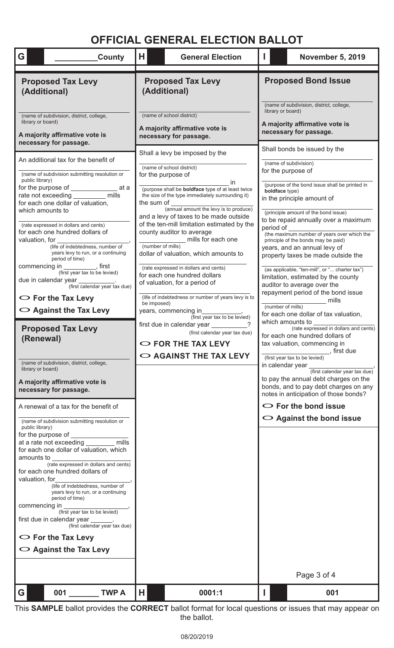# **OFFICIAL GENERAL ELECTION BALLOT**

| G<br><b>County</b>                                                                                                                                                                                                                                                                                                                                                                                                                                                                                                                                                                                                              | н                                              | <b>General Election</b>                                                                                                                                                                                                                                                                                                                                                                                                                                                                                                                                                                                                                                                                                                          |                                                                                                                           | <b>November 5, 2019</b>                                                                                                                                                                                                                                                                                                                                                                                                                                                                                                                                                                                                                                                                                                                  |  |
|---------------------------------------------------------------------------------------------------------------------------------------------------------------------------------------------------------------------------------------------------------------------------------------------------------------------------------------------------------------------------------------------------------------------------------------------------------------------------------------------------------------------------------------------------------------------------------------------------------------------------------|------------------------------------------------|----------------------------------------------------------------------------------------------------------------------------------------------------------------------------------------------------------------------------------------------------------------------------------------------------------------------------------------------------------------------------------------------------------------------------------------------------------------------------------------------------------------------------------------------------------------------------------------------------------------------------------------------------------------------------------------------------------------------------------|---------------------------------------------------------------------------------------------------------------------------|------------------------------------------------------------------------------------------------------------------------------------------------------------------------------------------------------------------------------------------------------------------------------------------------------------------------------------------------------------------------------------------------------------------------------------------------------------------------------------------------------------------------------------------------------------------------------------------------------------------------------------------------------------------------------------------------------------------------------------------|--|
| <b>Proposed Tax Levy</b><br>(Additional)                                                                                                                                                                                                                                                                                                                                                                                                                                                                                                                                                                                        | <b>Proposed Tax Levy</b><br>(Additional)       |                                                                                                                                                                                                                                                                                                                                                                                                                                                                                                                                                                                                                                                                                                                                  | <b>Proposed Bond Issue</b>                                                                                                |                                                                                                                                                                                                                                                                                                                                                                                                                                                                                                                                                                                                                                                                                                                                          |  |
| (name of subdivision, district, college,<br>library or board)<br>A majority affirmative vote is<br>necessary for passage.                                                                                                                                                                                                                                                                                                                                                                                                                                                                                                       |                                                | (name of school district)<br>A majority affirmative vote is<br>necessary for passage.                                                                                                                                                                                                                                                                                                                                                                                                                                                                                                                                                                                                                                            | (name of subdivision, district, college,<br>library or board)<br>A majority affirmative vote is<br>necessary for passage. |                                                                                                                                                                                                                                                                                                                                                                                                                                                                                                                                                                                                                                                                                                                                          |  |
| An additional tax for the benefit of<br>(name of subdivision submitting resolution or<br>public library)<br>rate not exceeding __________ mills<br>for each one dollar of valuation,<br>which amounts to<br>(rate expressed in dollars and cents)<br>for each one hundred dollars of<br>valuation, for<br>(life of indebtedness, number of<br>years levy to run, or a continuing<br>period of time)<br>commencing in<br>in ___________, first<br>(first year tax to be levied)<br>due in calendar year<br>(first calendar year tax due)<br>$\circ$ For the Tax Levy<br>$\circ$ Against the Tax Levy<br><b>Proposed Tax Levy</b> | the sum of<br>(number of mills)<br>be imposed) | Shall a levy be imposed by the<br>(name of school district)<br>for the purpose of<br>in.<br>(purpose shall be <b>boldface</b> type of at least twice<br>the size of the type immediately surrounding it)<br>(annual amount the levy is to produce)<br>and a levy of taxes to be made outside<br>of the ten-mill limitation estimated by the<br>county auditor to average<br>mills for each one<br>dollar of valuation, which amounts to<br>(rate expressed in dollars and cents)<br>for each one hundred dollars<br>of valuation, for a period of<br>(life of indebtedness or number of years levy is to<br>years, commencing in<br>(first year tax to be levied)<br>first due in calendar year<br>(first calendar year tax due) |                                                                                                                           | Shall bonds be issued by the<br>(name of subdivision)<br>for the purpose of<br>(purpose of the bond issue shall be printed in<br>boldface type)<br>in the principle amount of<br>(principle amount of the bond issue)<br>to be repaid annually over a maximum<br>period of<br>(the maximum number of years over which the<br>principle of the bonds may be paid)<br>years, and an annual levy of<br>property taxes be made outside the<br>(as applicable, "ten-mill", or " charter tax")<br>limitation, estimated by the county<br>auditor to average over the<br>repayment period of the bond issue<br>mills<br>(number of mills)<br>for each one dollar of tax valuation,<br>which amounts to<br>(rate expressed in dollars and cents) |  |
| (Renewal)<br>(name of subdivision, district, college,<br>library or board)<br>A majority affirmative vote is<br>necessary for passage.                                                                                                                                                                                                                                                                                                                                                                                                                                                                                          |                                                | O FOR THE TAX LEVY<br>$\circ$ AGAINST THE TAX LEVY                                                                                                                                                                                                                                                                                                                                                                                                                                                                                                                                                                                                                                                                               | in calendar year                                                                                                          | for each one hundred dollars of<br>tax valuation, commencing in<br>, first due<br>(first year tax to be levied)<br>(first calendar year tax due)<br>to pay the annual debt charges on the<br>bonds, and to pay debt charges on any<br>notes in anticipation of those bonds?                                                                                                                                                                                                                                                                                                                                                                                                                                                              |  |
| A renewal of a tax for the benefit of<br>(name of subdivision submitting resolution or<br>public library)<br>for the purpose of                                                                                                                                                                                                                                                                                                                                                                                                                                                                                                 |                                                |                                                                                                                                                                                                                                                                                                                                                                                                                                                                                                                                                                                                                                                                                                                                  |                                                                                                                           | $\circ$ For the bond issue<br>$\circ$ Against the bond issue                                                                                                                                                                                                                                                                                                                                                                                                                                                                                                                                                                                                                                                                             |  |
| mills<br>at a rate not exceeding<br>for each one dollar of valuation, which<br>amounts to<br>(rate expressed in dollars and cents)<br>for each one hundred dollars of<br>valuation, for<br>(life of indebtedness, number of<br>years levy to run, or a continuing<br>period of time)<br>commencing in<br>(first year tax to be levied)<br>first due in calendar year<br>(first calendar year tax due)<br>$\circ$ For the Tax Levy                                                                                                                                                                                               |                                                |                                                                                                                                                                                                                                                                                                                                                                                                                                                                                                                                                                                                                                                                                                                                  |                                                                                                                           |                                                                                                                                                                                                                                                                                                                                                                                                                                                                                                                                                                                                                                                                                                                                          |  |
| $\circ$ Against the Tax Levy                                                                                                                                                                                                                                                                                                                                                                                                                                                                                                                                                                                                    |                                                |                                                                                                                                                                                                                                                                                                                                                                                                                                                                                                                                                                                                                                                                                                                                  |                                                                                                                           |                                                                                                                                                                                                                                                                                                                                                                                                                                                                                                                                                                                                                                                                                                                                          |  |
|                                                                                                                                                                                                                                                                                                                                                                                                                                                                                                                                                                                                                                 |                                                |                                                                                                                                                                                                                                                                                                                                                                                                                                                                                                                                                                                                                                                                                                                                  | Page 3 of 4                                                                                                               |                                                                                                                                                                                                                                                                                                                                                                                                                                                                                                                                                                                                                                                                                                                                          |  |
| 001<br><b>TWP A</b><br>G                                                                                                                                                                                                                                                                                                                                                                                                                                                                                                                                                                                                        | н                                              | 0001:1                                                                                                                                                                                                                                                                                                                                                                                                                                                                                                                                                                                                                                                                                                                           |                                                                                                                           | 001                                                                                                                                                                                                                                                                                                                                                                                                                                                                                                                                                                                                                                                                                                                                      |  |

This **SAMPLE** ballot provides the **CORRECT** ballot format for local questions or issues that may appear on the ballot.